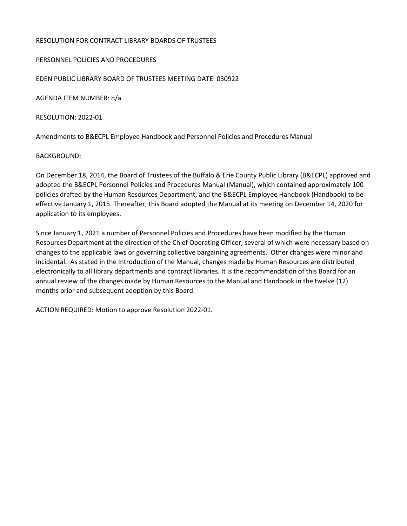## RESOLUTION FOR CONTRACT LIBRARY BOARDS OF TRUSTEES

## PERSONNEL POLICIES AND PROCEDURES

EDEN PUBLIC LIBRARY BOARD OF TRUSTEES MEETING DATE: 030922

AGENDA ITEM NUMBER: n/a

RESOLUTION: 2022-01

Amendments to B&ECPL Employee Handbook and Personnel Policies and Procedures Manual

## BACKGROUND:

On December 18, 2014, the Board of Trustees of the Buffalo & Erie County Public Library (B&ECPL) approved and adopted the B&ECPL Personnel Policies and Procedures Manual (Manual), which contained approximately 100 policies drafted by the Human Resources Department, and the B&ECPL Employee Handbook (Handbook) to be effective January 1, 2015. Thereafter, this Board adopted the Manual at its meeting on December 14, 2020 for application to its employees.

Since January 1, 2021 a number of Personnel Policies and Procedures have been modified by the Human Resources Department at the direction of the Chief Operating Officer, several of which were necessary based on changes to the applicable laws or governing collective bargaining agreements. Other changes were minor and incidental. As stated in the Introduction of the Manual, changes made by Human Resources are distributed electronically to all library departments and contract libraries. It is the recommendation of this Board for an annual review of the changes made by Human Resources to the Manual and Handbook in the twelve (12) months prior and subsequent adoption by this Board.

ACTION REQUIRED: Motion to approve Resolution 2022-01.